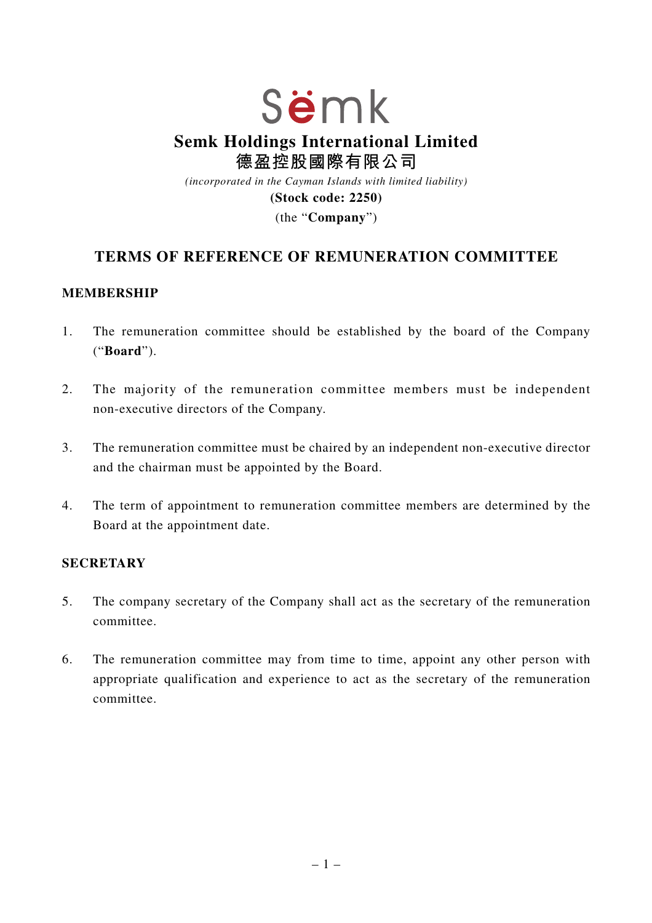# Sëmk **Semk Holdings International Limited 德盈控股國際有限公司** *(incorporated in the Cayman Islands with limited liability)*

**(Stock code: 2250)**

(the "**Company**")

## **TERMS OF REFERENCE OF REMUNERATION COMMITTEE**

#### **MEMBERSHIP**

- 1. The remuneration committee should be established by the board of the Company ("**Board**").
- 2. The majority of the remuneration committee members must be independent non-executive directors of the Company.
- 3. The remuneration committee must be chaired by an independent non-executive director and the chairman must be appointed by the Board.
- 4. The term of appointment to remuneration committee members are determined by the Board at the appointment date.

#### **SECRETARY**

- 5. The company secretary of the Company shall act as the secretary of the remuneration committee.
- 6. The remuneration committee may from time to time, appoint any other person with appropriate qualification and experience to act as the secretary of the remuneration committee.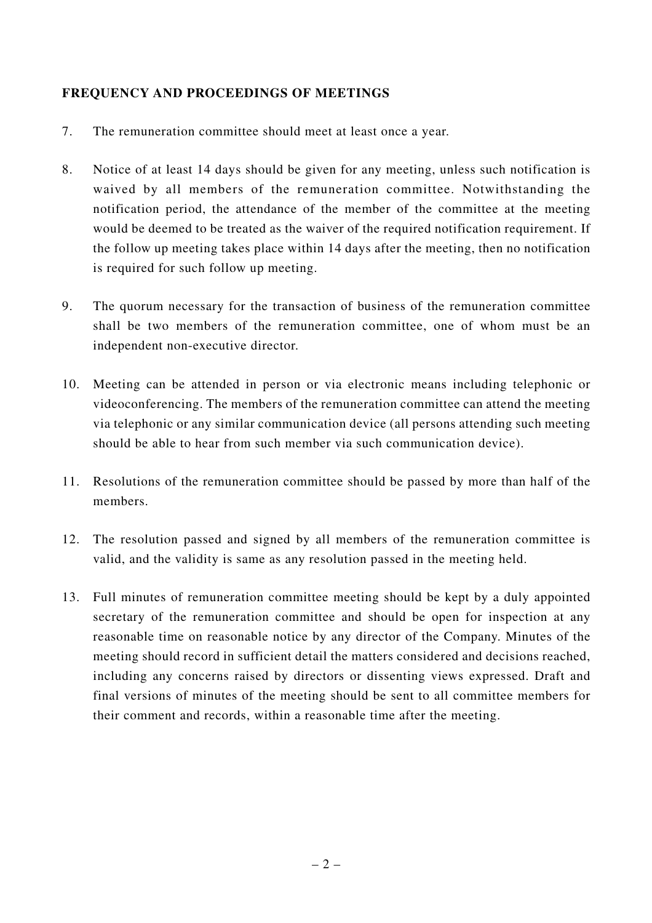### **FREQUENCY AND PROCEEDINGS OF MEETINGS**

- 7. The remuneration committee should meet at least once a year.
- 8. Notice of at least 14 days should be given for any meeting, unless such notification is waived by all members of the remuneration committee. Notwithstanding the notification period, the attendance of the member of the committee at the meeting would be deemed to be treated as the waiver of the required notification requirement. If the follow up meeting takes place within 14 days after the meeting, then no notification is required for such follow up meeting.
- 9. The quorum necessary for the transaction of business of the remuneration committee shall be two members of the remuneration committee, one of whom must be an independent non-executive director.
- 10. Meeting can be attended in person or via electronic means including telephonic or videoconferencing. The members of the remuneration committee can attend the meeting via telephonic or any similar communication device (all persons attending such meeting should be able to hear from such member via such communication device).
- 11. Resolutions of the remuneration committee should be passed by more than half of the members.
- 12. The resolution passed and signed by all members of the remuneration committee is valid, and the validity is same as any resolution passed in the meeting held.
- 13. Full minutes of remuneration committee meeting should be kept by a duly appointed secretary of the remuneration committee and should be open for inspection at any reasonable time on reasonable notice by any director of the Company. Minutes of the meeting should record in sufficient detail the matters considered and decisions reached, including any concerns raised by directors or dissenting views expressed. Draft and final versions of minutes of the meeting should be sent to all committee members for their comment and records, within a reasonable time after the meeting.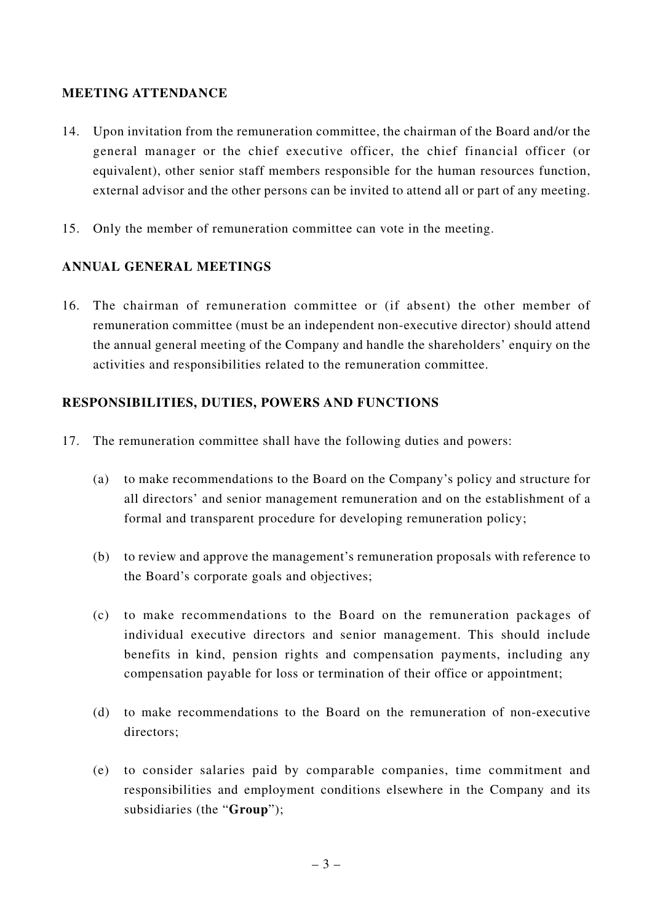### **MEETING ATTENDANCE**

- 14. Upon invitation from the remuneration committee, the chairman of the Board and/or the general manager or the chief executive officer, the chief financial officer (or equivalent), other senior staff members responsible for the human resources function, external advisor and the other persons can be invited to attend all or part of any meeting.
- 15. Only the member of remuneration committee can vote in the meeting.

#### **ANNUAL GENERAL MEETINGS**

16. The chairman of remuneration committee or (if absent) the other member of remuneration committee (must be an independent non-executive director) should attend the annual general meeting of the Company and handle the shareholders' enquiry on the activities and responsibilities related to the remuneration committee.

#### **RESPONSIBILITIES, DUTIES, POWERS AND FUNCTIONS**

- 17. The remuneration committee shall have the following duties and powers:
	- (a) to make recommendations to the Board on the Company's policy and structure for all directors' and senior management remuneration and on the establishment of a formal and transparent procedure for developing remuneration policy;
	- (b) to review and approve the management's remuneration proposals with reference to the Board's corporate goals and objectives;
	- (c) to make recommendations to the Board on the remuneration packages of individual executive directors and senior management. This should include benefits in kind, pension rights and compensation payments, including any compensation payable for loss or termination of their office or appointment;
	- (d) to make recommendations to the Board on the remuneration of non-executive directors;
	- (e) to consider salaries paid by comparable companies, time commitment and responsibilities and employment conditions elsewhere in the Company and its subsidiaries (the "**Group**");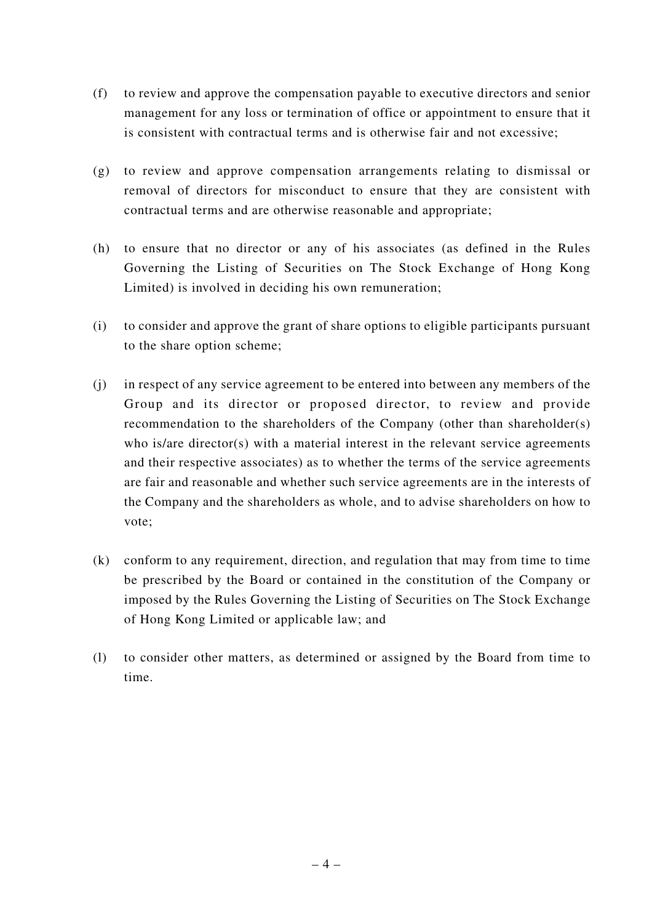- (f) to review and approve the compensation payable to executive directors and senior management for any loss or termination of office or appointment to ensure that it is consistent with contractual terms and is otherwise fair and not excessive;
- (g) to review and approve compensation arrangements relating to dismissal or removal of directors for misconduct to ensure that they are consistent with contractual terms and are otherwise reasonable and appropriate;
- (h) to ensure that no director or any of his associates (as defined in the Rules Governing the Listing of Securities on The Stock Exchange of Hong Kong Limited) is involved in deciding his own remuneration;
- (i) to consider and approve the grant of share options to eligible participants pursuant to the share option scheme;
- (j) in respect of any service agreement to be entered into between any members of the Group and its director or proposed director, to review and provide recommendation to the shareholders of the Company (other than shareholder(s) who is/are director(s) with a material interest in the relevant service agreements and their respective associates) as to whether the terms of the service agreements are fair and reasonable and whether such service agreements are in the interests of the Company and the shareholders as whole, and to advise shareholders on how to vote;
- (k) conform to any requirement, direction, and regulation that may from time to time be prescribed by the Board or contained in the constitution of the Company or imposed by the Rules Governing the Listing of Securities on The Stock Exchange of Hong Kong Limited or applicable law; and
- (l) to consider other matters, as determined or assigned by the Board from time to time.